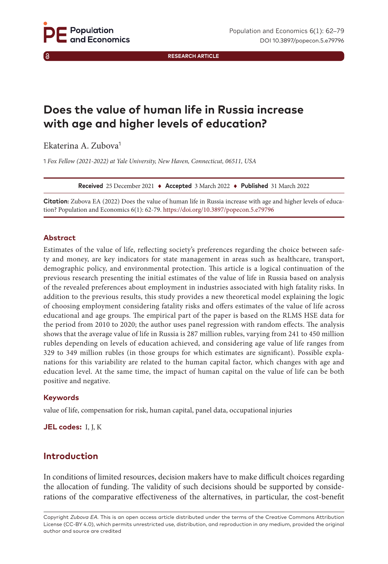**RESEARCH ARTICLE**

# **Does the value of human life in Russia increase with age and higher levels of education?**

Ekaterina A. Zubova<sup>1</sup>

1 *Fox Fellow (2021-2022) at Yale University, New Haven, Connecticut, 06511, USA*

**Received** 25 December 2021 ♦ **Accepted** 3 March 2022 ♦ **Published** 31 March 2022

**Citation:** Zubova EA (2022) Does the value of human life in Russia increase with age and higher levels of education? Population and Economics 6(1): 62-79. [https://doi.org/](https://doi.org/10.3897/popecon.5.e79796)10.3897/popecon.5.e79796

#### **Abstract**

Estimates of the value of life, reflecting society's preferences regarding the choice between safety and money, are key indicators for state management in areas such as healthcare, transport, demographic policy, and environmental protection. This article is a logical continuation of the previous research presenting the initial estimates of the value of life in Russia based on analysis of the revealed preferences about employment in industries associated with high fatality risks. In addition to the previous results, this study provides a new theoretical model explaining the logic of choosing employment considering fatality risks and offers estimates of the value of life across educational and age groups. The empirical part of the paper is based on the RLMS HSE data for the period from 2010 to 2020; the author uses panel regression with random effects. The analysis shows that the average value of life in Russia is 287 million rubles, varying from 241 to 450 million rubles depending on levels of education achieved, and considering age value of life ranges from 329 to 349 million rubles (in those groups for which estimates are significant). Possible explanations for this variability are related to the human capital factor, which changes with age and education level. At the same time, the impact of human capital on the value of life can be both positive and negative.

#### **Keywords**

value of life, compensation for risk, human capital, panel data, occupational injuries

**JEL codes:** I, J, K

# **Introduction**

In conditions of limited resources, decision makers have to make difficult choices regarding the allocation of funding. The validity of such decisions should be supported by considerations of the comparative effectiveness of the alternatives, in particular, the cost-benefit

Copyright *Zubova EA.* This is an open access article distributed under the terms of the Creative Commons Attribution License (CC-BY 4.0), which permits unrestricted use, distribution, and reproduction in any medium, provided the original author and source are credited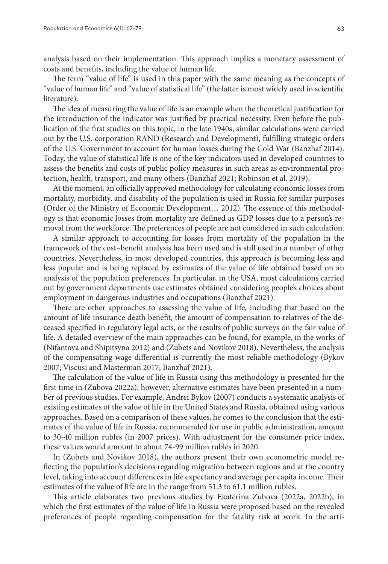analysis based on their implementation. This approach implies a monetary assessment of costs and benefits, including the value of human life.

The term "value of life" is used in this paper with the same meaning as the concepts of "value of human life" and "value of statistical life" (the latter is most widely used in scientific literature).

The idea of measuring the value of life is an example when the theoretical justification for the introduction of the indicator was justified by practical necessity. Even before the publication of the first studies on this topic, in the late 1940s, similar calculations were carried out by the U.S. corporation RAND (Research and Development), fulfilling strategic orders of the U.S. Government to account for human losses during the Cold War (Banzhaf 2014). Today, the value of statistical life is one of the key indicators used in developed countries to assess the benefits and costs of public policy measures in such areas as environmental protection, health, transport, and many others (Banzhaf 2021; Robinson et al. 2019).

At the moment, an officially approved methodology for calculating economic losses from mortality, morbidity, and disability of the population is used in Russia for similar purposes (Order of the Ministry of Economic Development… 2012). The essence of this methodology is that economic losses from mortality are defined as GDP losses due to a person's removal from the workforce. The preferences of people are not considered in such calculation.

A similar approach to accounting for losses from mortality of the population in the framework of the cost–benefit analysis has been used and is still used in a number of other countries. Nevertheless, in most developed countries, this approach is becoming less and less popular and is being replaced by estimates of the value of life obtained based on an analysis of the population preferences. In particular, in the USA, most calculations carried out by government departments use estimates obtained considering people's choices about employment in dangerous industries and occupations (Banzhaf 2021).

There are other approaches to assessing the value of life, including that based on the amount of life insurance death benefit, the amount of compensation to relatives of the deceased specified in regulatory legal acts, or the results of public surveys on the fair value of life. A detailed overview of the main approaches can be found, for example, in the works of (Nifantova and Shipitsyna 2012) and (Zubets and Novikov 2018). Nevertheless, the analysis of the compensating wage differential is currently the most reliable methodology (Bykov 2007; Viscusi and Masterman 2017; Banzhaf 2021).

The calculation of the value of life in Russia using this methodology is presented for the first time in (Zubova 2022a); however, alternative estimates have been presented in a number of previous studies. For example, Andrei Bykov (2007) conducts a systematic analysis of existing estimates of the value of life in the United States and Russia, obtained using various approaches. Based on a comparison of these values, he comes to the conclusion that the estimates of the value of life in Russia, recommended for use in public administration, amount to 30-40 million rubles (in 2007 prices). With adjustment for the consumer price index, these values would amount to about 74-99 million rubles in 2020.

In (Zubets and Novikov 2018), the authors present their own econometric model reflecting the population's decisions regarding migration between regions and at the country level, taking into account differences in life expectancy and average per capita income. Their estimates of the value of life are in the range from 51.3 to 61.1 million rubles.

This article elaborates two previous studies by Ekaterina Zubova (2022a, 2022b), in which the first estimates of the value of life in Russia were proposed based on the revealed preferences of people regarding compensation for the fatality risk at work. In the arti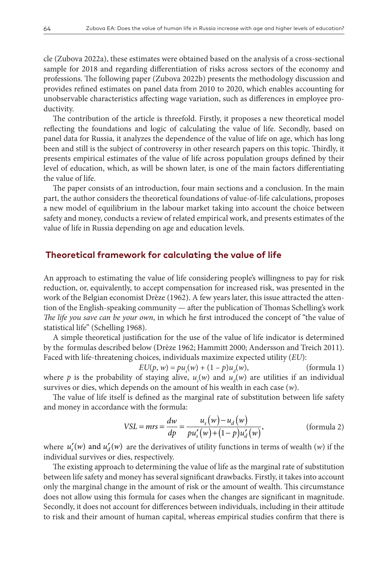cle (Zubova 2022a), these estimates were obtained based on the analysis of a cross-sectional sample for 2018 and regarding differentiation of risks across sectors of the economy and professions. The following paper (Zubova 2022b) presents the methodology discussion and provides refined estimates on panel data from 2010 to 2020, which enables accounting for unobservable characteristics affecting wage variation, such as differences in employee productivity.

The contribution of the article is threefold. Firstly, it proposes a new theoretical model reflecting the foundations and logic of calculating the value of life. Secondly, based on panel data for Russia, it analyzes the dependence of the value of life on age, which has long been and still is the subject of controversy in other research papers on this topic. Thirdly, it presents empirical estimates of the value of life across population groups defined by their level of education, which, as will be shown later, is one of the main factors differentiating the value of life.

The paper consists of an introduction, four main sections and a conclusion. In the main part, the author considers the theoretical foundations of value-of-life calculations, proposes a new model of equilibrium in the labour market taking into account the choice between safety and money, conducts a review of related empirical work, and presents estimates of the value of life in Russia depending on age and education levels.

#### **Theoretical framework for calculating the value of life**

An approach to estimating the value of life considering people's willingness to pay for risk reduction, or, equivalently, to accept compensation for increased risk, was presented in the work of the Belgian economist Drèze (1962). A few years later, this issue attracted the attention of the English-speaking community — after the publication of Thomas Schelling's work *The life you save can be your own*, in which he first introduced the concept of "the value of statistical life" (Schelling 1968).

A simple theoretical justification for the use of the value of life indicator is determined by the formulas described below (Drèze 1962; Hammitt 2000; Andersson and Treich 2011). Faced with life-threatening choices, individuals maximize expected utility (*EU*):

 $EU(p, w) = pu_s(w) + (1 - p)u_d$ (formula 1) where *p* is the probability of staying alive,  $u_s(w)$  and  $u_d(w)$  are utilities if an individual survives or dies, which depends on the amount of his wealth in each case (*w*).

The value of life itself is defined as the marginal rate of substitution between life safety and money in accordance with the formula:

$$
VSL = mrs = \frac{dw}{dp} = \frac{u_s(w) - u_d(w)}{pu_s'(w) + (1 - p)u_d'(w)},
$$
 (formula 2)

where  $u'_{s}(w)$  and  $u'_{d}(w)$  are the derivatives of utility functions in terms of wealth (*w*) if the individual survives or dies, respectively.

The existing approach to determining the value of life as the marginal rate of substitution between life safety and money has several significant drawbacks. Firstly, it takes into account only the marginal change in the amount of risk or the amount of wealth. This circumstance does not allow using this formula for cases when the changes are significant in magnitude. Secondly, it does not account for differences between individuals, including in their attitude to risk and their amount of human capital, whereas empirical studies confirm that there is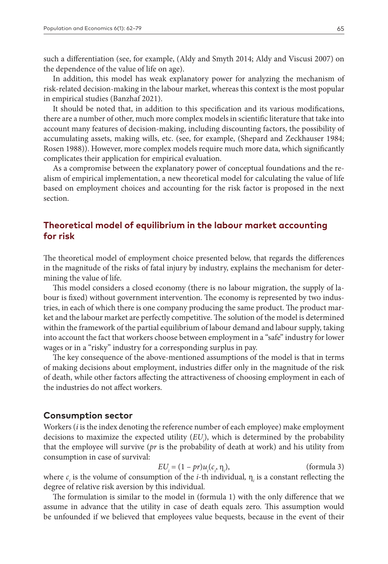such a differentiation (see, for example, (Aldy and Smyth 2014; Aldy and Viscusi 2007) on the dependence of the value of life on age).

In addition, this model has weak explanatory power for analyzing the mechanism of risk-related decision-making in the labour market, whereas this context is the most popular in empirical studies (Banzhaf 2021).

It should be noted that, in addition to this specification and its various modifications, there are a number of other, much more complex models in scientific literature that take into account many features of decision-making, including discounting factors, the possibility of accumulating assets, making wills, etc. (see, for example, (Shepard and Zeckhauser 1984; Rosen 1988)). However, more complex models require much more data, which significantly complicates their application for empirical evaluation.

As a compromise between the explanatory power of conceptual foundations and the realism of empirical implementation, a new theoretical model for calculating the value of life based on employment choices and accounting for the risk factor is proposed in the next section.

# **Theoretical model of equilibrium in the labour market accounting for risk**

The theoretical model of employment choice presented below, that regards the differences in the magnitude of the risks of fatal injury by industry, explains the mechanism for determining the value of life.

This model considers a closed economy (there is no labour migration, the supply of labour is fixed) without government intervention. The economy is represented by two industries, in each of which there is one company producing the same product. The product market and the labour market are perfectly competitive. The solution of the model is determined within the framework of the partial equilibrium of labour demand and labour supply, taking into account the fact that workers choose between employment in a "safe" industry for lower wages or in a "risky" industry for a corresponding surplus in pay.

The key consequence of the above-mentioned assumptions of the model is that in terms of making decisions about employment, industries differ only in the magnitude of the risk of death, while other factors affecting the attractiveness of choosing employment in each of the industries do not affect workers.

#### **Consumption sector**

Workers (*i* is the index denoting the reference number of each employee) make employment decisions to maximize the expected utility (*EU*<sub>i</sub>), which is determined by the probability that the employee will survive (*pr* is the probability of death at work) and his utility from consumption in case of survival:

$$
EU_i = (1 - pr)u_i(c_i, \eta_i),
$$
 (formula 3)

where  $c_i$  is the volume of consumption of the *i*-th individual,  $\eta_i$  is a constant reflecting the degree of relative risk aversion by this individual*.*

The formulation is similar to the model in (formula 1) with the only difference that we assume in advance that the utility in case of death equals zero. This assumption would be unfounded if we believed that employees value bequests, because in the event of their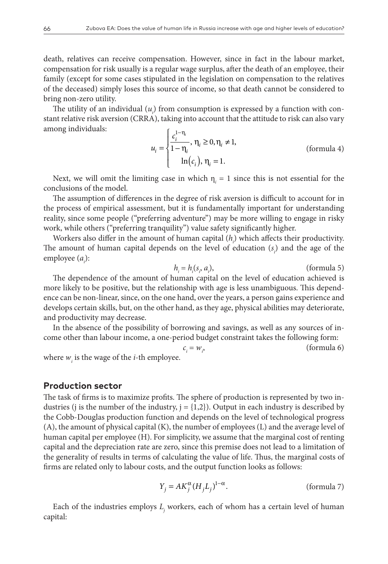death, relatives can receive compensation. However, since in fact in the labour market, compensation for risk usually is a regular wage surplus, after the death of an employee, their family (except for some cases stipulated in the legislation on compensation to the relatives of the deceased) simply loses this source of income, so that death cannot be considered to bring non-zero utility.

The utility of an individual  $(u_i)$  from consumption is expressed by a function with constant relative risk aversion (CRRA), taking into account that the attitude to risk can also vary among individuals: 1−

$$
u_i = \begin{cases} \frac{c_i^{1-\eta_i}}{1-\eta_i}, \eta_i \ge 0, \eta_i \ne 1, \\ \ln(c_i), \eta_i = 1. \end{cases}
$$
 (formula 4)

Next, we will omit the limiting case in which  $\eta_i = 1$  since this is not essential for the conclusions of the model.

The assumption of differences in the degree of risk aversion is difficult to account for in the process of empirical assessment, but it is fundamentally important for understanding reality, since some people ("preferring adventure") may be more willing to engage in risky work, while others ("preferring tranquility") value safety significantly higher.

Workers also differ in the amount of human capital (*h<sub>i</sub>*) which affects their productivity. The amount of human capital depends on the level of education  $(s<sub>i</sub>)$  and the age of the employee (*a*<sub>*i*</sub>):

$$
h_i = h_i(s_i, a_i), \qquad \text{(formula 5)}
$$

The dependence of the amount of human capital on the level of education achieved is more likely to be positive, but the relationship with age is less unambiguous. This dependence can be non-linear, since, on the one hand, over the years, a person gains experience and develops certain skills, but, on the other hand, as they age, physical abilities may deteriorate, and productivity may decrease.

In the absence of the possibility of borrowing and savings, as well as any sources of income other than labour income, a one-period budget constraint takes the following form:

 $c_i = w_i$ , (formula 6)

where  $w_i$  is the wage of the *i*-th employee.

## **Production sector**

The task of firms is to maximize profits. The sphere of production is represented by two industries (j is the number of the industry,  $j = \{1,2\}$ ). Output in each industry is described by the Cobb-Douglas production function and depends on the level of technological progress (A), the amount of physical capital (K), the number of employees (L) and the average level of human capital per employee (H). For simplicity, we assume that the marginal cost of renting capital and the depreciation rate are zero, since this premise does not lead to a limitation of the generality of results in terms of calculating the value of life. Thus, the marginal costs of firms are related only to labour costs, and the output function looks as follows:

$$
Y_j = AK_j^{\alpha} (H_j L_j)^{1-\alpha}.
$$
 (formula 7)

Each of the industries employs *Lj* workers, each of whom has a certain level of human capital: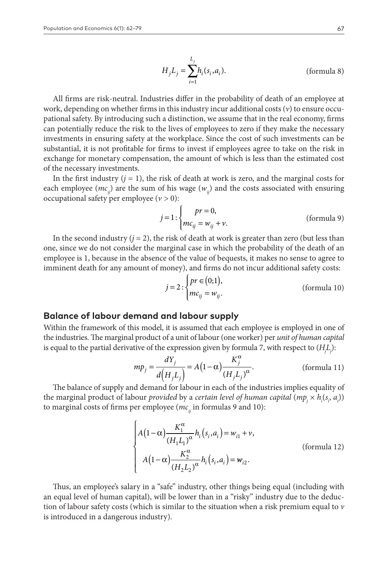$$
H_j L_j = \sum_{i=1}^{L_j} h_i(s_i, a_i).
$$
 (formula 8)

All firms are risk-neutral. Industries differ in the probability of death of an employee at work, depending on whether firms in this industry incur additional costs (*v*) to ensure occupational safety. By introducing such a distinction, we assume that in the real economy, firms can potentially reduce the risk to the lives of employees to zero if they make the necessary investments in ensuring safety at the workplace. Since the cost of such investments can be substantial, it is not profitable for firms to invest if employees agree to take on the risk in exchange for monetary compensation, the amount of which is less than the estimated cost of the necessary investments.

In the first industry  $(j = 1)$ , the risk of death at work is zero, and the marginal costs for each employee ( $mc<sub>ii</sub>$ ) are the sum of his wage ( $w<sub>ii</sub>$ ) and the costs associated with ensuring occupational safety per employee (*v >* 0):

$$
j = 1: \begin{cases} pr = 0, \\ mc_{ij} = w_{ij} + v. \end{cases}
$$
 (formula 9)

In the second industry  $(j = 2)$ , the risk of death at work is greater than zero (but less than one, since we do not consider the marginal case in which the probability of the death of an employee is 1, because in the absence of the value of bequests, it makes no sense to agree to imminent death for any amount of money), and firms do not incur additional safety costs:

$$
j = 2: \begin{cases} pr \in (0;1), \\ mc_{ij} = w_{ij}. \end{cases}
$$
 (formula 10)

## **Balance of labour demand and labour supply**

Within the framework of this model, it is assumed that each employee is employed in one of the industries. The marginal product of a unit of labour (one worker) per *unit of human capital* is equal to the partial derivative of the expression given by formula 7, with respect to (*Hj Lj* ):

$$
mp_j = \frac{dY_j}{d(H_j L_j)} = A(1 - \alpha) \frac{K_j^{\alpha}}{(H_j L_j)^{\alpha}}.
$$
 (formula 11)

The balance of supply and demand for labour in each of the industries implies equality of the marginal product of labour *provided* by a *certain level of human capital*  $(\mathit{mp}_j \times \mathit{h}_i(s_i, a_j))$ to marginal costs of firms per employee ( $mc<sub>ii</sub>$  in formulas 9 and 10):

$$
\begin{cases}\nA(1-\alpha)\frac{K_1^{\alpha}}{(H_1L_1)^{\alpha}}h_i(s_i,a_i) = w_{i1} + v, \\
A(1-\alpha)\frac{K_2^{\alpha}}{(H_2L_2)^{\alpha}}h_i(s_i,a_i) = w_{i2}.\n\end{cases}
$$
\n(formula 12)

Thus, an employee's salary in a "safe" industry, other things being equal (including with an equal level of human capital), will be lower than in a "risky" industry due to the deduction of labour safety costs (which is similar to the situation when a risk premium equal to *v* is introduced in a dangerous industry).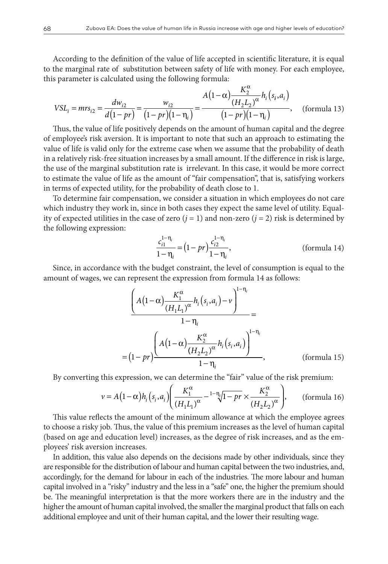According to the definition of the value of life accepted in scientific literature, it is equal to the marginal rate of substitution between safety of life with money. For each employee, this parameter is calculated using the following formula:

$$
VSL_{i} = mrs_{i2} = \frac{dw_{i2}}{d(1 - pr)} = \frac{w_{i2}}{(1 - pr)(1 - \eta_{i})} = \frac{A(1 - \alpha)\frac{K_{2}^{\alpha}}{(H_{2}L_{2})^{\alpha}}h_{i}(s_{i}, a_{i})}{(1 - pr)(1 - \eta_{i})}, \quad \text{(formula 13)}
$$

Thus, the value of life positively depends on the amount of human capital and the degree of employee's risk aversion. It is important to note that such an approach to estimating the value of life is valid only for the extreme case when we assume that the probability of death in a relatively risk-free situation increases by a small amount. If the difference in risk is large, the use of the marginal substitution rate is irrelevant. In this case, it would be more correct to estimate the value of life as the amount of "fair compensation", that is, satisfying workers in terms of expected utility, for the probability of death close to 1.

To determine fair compensation, we consider a situation in which employees do not care which industry they work in, since in both cases they expect the same level of utility. Equality of expected utilities in the case of zero  $(j = 1)$  and non-zero  $(j = 2)$  risk is determined by the following expression:

$$
\frac{c_{i1}^{1-\eta_i}}{1-\eta_i} = (1 - pr)\frac{c_{i2}^{1-\eta_i}}{1-\eta_i},
$$
 (formula 14)

Since, in accordance with the budget constraint, the level of consumption is equal to the amount of wages, we can represent the expression from formula 14 as follows:

$$
\frac{\left(A(1-\alpha)\frac{K_1^{\alpha}}{(H_1L_1)^{\alpha}}h_i(s_i,a_i)-\nu\right)^{1-\eta_i}}{1-\eta_i} = \frac{1-\eta_i}{\left(A(1-\alpha)\frac{K_2^{\alpha}}{(H_2L_2)^{\alpha}}h_i(s_i,a_i)\right)^{1-\eta_i}}, \qquad \text{(formula 15)}
$$

By converting this expression, we can determine the "fair" value of the risk premium:

$$
\nu = A\left(1 - \alpha\right)h_i\left(s_i, a_i\right) \left(\frac{K_1^{\alpha}}{\left(H_1 L_1\right)^{\alpha}} - \frac{1 - \eta_i}{1 - pr} \times \frac{K_2^{\alpha}}{\left(H_2 L_2\right)^{\alpha}}\right), \qquad \text{(formula 16)}
$$

This value reflects the amount of the minimum allowance at which the employee agrees to choose a risky job. Thus, the value of this premium increases as the level of human capital (based on age and education level) increases, as the degree of risk increases, and as the employees' risk aversion increases.

In addition, this value also depends on the decisions made by other individuals, since they are responsible for the distribution of labour and human capital between the two industries, and, accordingly, for the demand for labour in each of the industries. The more labour and human capital involved in a "risky" industry and the less in a "safe" one, the higher the premium should be. The meaningful interpretation is that the more workers there are in the industry and the higher the amount of human capital involved, the smaller the marginal product that falls on each additional employee and unit of their human capital, and the lower their resulting wage.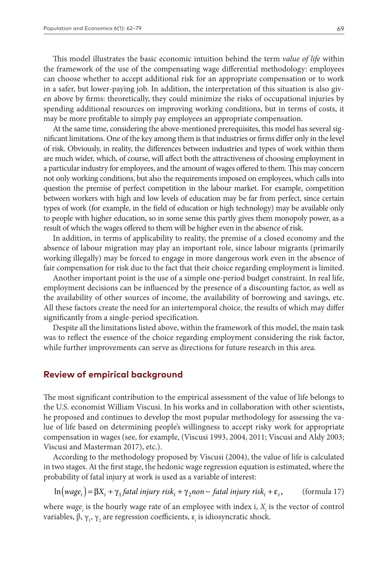This model illustrates the basic economic intuition behind the term *value of life* within the framework of the use of the compensating wage differential methodology: employees can choose whether to accept additional risk for an appropriate compensation or to work in a safer, but lower-paying job. In addition, the interpretation of this situation is also given above by firms: theoretically, they could minimize the risks of occupational injuries by spending additional resources on improving working conditions, but in terms of costs, it may be more profitable to simply pay employees an appropriate compensation.

At the same time, considering the above-mentioned prerequisites, this model has several significant limitations. One of the key among them is that industries or firms differ only in the level of risk. Obviously, in reality, the differences between industries and types of work within them are much wider, which, of course, will affect both the attractiveness of choosing employment in a particular industry for employees, and the amount of wages offered to them. This may concern not only working conditions, but also the requirements imposed on employees, which calls into question the premise of perfect competition in the labour market. For example, competition between workers with high and low levels of education may be far from perfect, since certain types of work (for example, in the field of education or high technology) may be available only to people with higher education, so in some sense this partly gives them monopoly power, as a result of which the wages offered to them will be higher even in the absence of risk.

In addition, in terms of applicability to reality, the premise of a closed economy and the absence of labour migration may play an important role, since labour migrants (primarily working illegally) may be forced to engage in more dangerous work even in the absence of fair compensation for risk due to the fact that their choice regarding employment is limited.

Another important point is the use of a simple one-period budget constraint. In real life, employment decisions can be influenced by the presence of a discounting factor, as well as the availability of other sources of income, the availability of borrowing and savings, etc. All these factors create the need for an intertemporal choice, the results of which may differ significantly from a single-period specification.

Despite all the limitations listed above, within the framework of this model, the main task was to reflect the essence of the choice regarding employment considering the risk factor, while further improvements can serve as directions for future research in this area.

#### **Review of empirical background**

The most significant contribution to the empirical assessment of the value of life belongs to the U.S. economist William Viscusi. In his works and in collaboration with other scientists, he proposed and continues to develop the most popular methodology for assessing the value of life based on determining people's willingness to accept risky work for appropriate compensation in wages (see, for example, (Viscusi 1993, 2004, 2011; Viscusi and Aldy 2003; Viscusi and Masterman 2017), etc.).

According to the methodology proposed by Viscusi (2004), the value of life is calculated in two stages. At the first stage, the hedonic wage regression equation is estimated, where the probability of fatal injury at work is used as a variable of interest:

$$
\ln(wage_i) = \beta X_i + \gamma_1 fatal \; injury \; risk_i + \gamma_2 non-fatal \; injury \; risk_i + \varepsilon_i, \qquad \text{(formula 17)}
$$

where  $\textit{wage}_i$  is the hourly wage rate of an employee with index i,  $X_i$  is the vector of control variables, β, γ<sub>1</sub>, γ<sub>2</sub> are regression coefficients, ε<sub>i</sub> is idiosyncratic shock.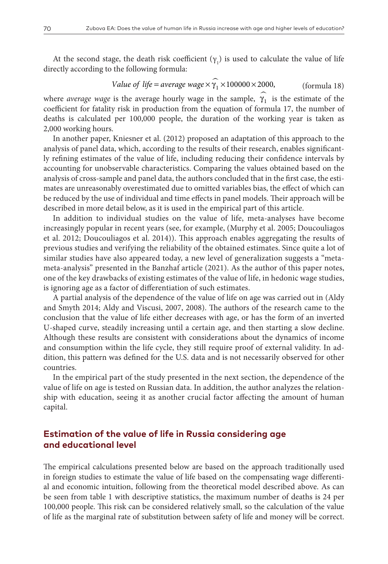At the second stage, the death risk coefficient  $(\gamma_1)$  is used to calculate the value of life directly according to the following formula:

Value of life = average wage 
$$
\widehat{\gamma_1} \times 100000 \times 2000
$$
, (formula 18)

where *average wage* is the average hourly wage in the sample,  $\hat{\gamma}_1$  is the estimate of the coefficient for fatality risk in production from the equation of formula 17, the number of deaths is calculated per 100,000 people, the duration of the working year is taken as 2,000 working hours.

In another paper, Kniesner et al. (2012) proposed an adaptation of this approach to the analysis of panel data, which, according to the results of their research, enables significantly refining estimates of the value of life, including reducing their confidence intervals by accounting for unobservable characteristics. Comparing the values obtained based on the analysis of cross-sample and panel data, the authors concluded that in the first case, the estimates are unreasonably overestimated due to omitted variables bias, the effect of which can be reduced by the use of individual and time effects in panel models. Their approach will be described in more detail below, as it is used in the empirical part of this article.

In addition to individual studies on the value of life, meta-analyses have become increasingly popular in recent years (see, for example, (Murphy et al. 2005; Doucouliagos et al. 2012; Doucouliagos et al. 2014)). This approach enables aggregating the results of previous studies and verifying the reliability of the obtained estimates. Since quite a lot of similar studies have also appeared today, a new level of generalization suggests a "metameta-analysis" presented in the Banzhaf article (2021). As the author of this paper notes, one of the key drawbacks of existing estimates of the value of life, in hedonic wage studies, is ignoring age as a factor of differentiation of such estimates.

A partial analysis of the dependence of the value of life on age was carried out in (Aldy and Smyth 2014; Aldy and Viscusi, 2007, 2008). The authors of the research came to the conclusion that the value of life either decreases with age, or has the form of an inverted U-shaped curve, steadily increasing until a certain age, and then starting a slow decline. Although these results are consistent with considerations about the dynamics of income and consumption within the life cycle, they still require proof of external validity. In addition, this pattern was defined for the U.S. data and is not necessarily observed for other countries.

In the empirical part of the study presented in the next section, the dependence of the value of life on age is tested on Russian data. In addition, the author analyzes the relationship with education, seeing it as another crucial factor affecting the amount of human capital.

# **Estimation of the value of life in Russia considering age and educational level**

The empirical calculations presented below are based on the approach traditionally used in foreign studies to estimate the value of life based on the compensating wage differential and economic intuition, following from the theoretical model described above. As can be seen from table 1 with descriptive statistics, the maximum number of deaths is 24 per 100,000 people. This risk can be considered relatively small, so the calculation of the value of life as the marginal rate of substitution between safety of life and money will be correct.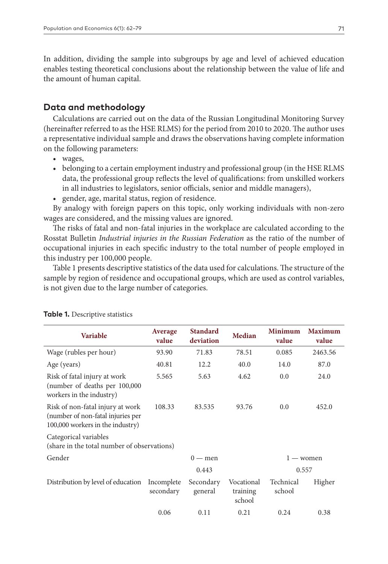In addition, dividing the sample into subgroups by age and level of achieved education enables testing theoretical conclusions about the relationship between the value of life and the amount of human capital.

## **Data and methodology**

Calculations are carried out on the data of the Russian Longitudinal Monitoring Survey (hereinafter referred to as the HSE RLMS) for the period from 2010 to 2020. The author uses a representative individual sample and draws the observations having complete information on the following parameters:

- wages,
- belonging to a certain employment industry and professional group (in the HSE RLMS data, the professional group reflects the level of qualifications: from unskilled workers in all industries to legislators, senior officials, senior and middle managers),
- gender, age, marital status, region of residence.

By analogy with foreign papers on this topic, only working individuals with non-zero wages are considered, and the missing values are ignored.

The risks of fatal and non-fatal injuries in the workplace are calculated according to the Rosstat Bulletin *Industrial injuries in the Russian Federation* as the ratio of the number of occupational injuries in each specific industry to the total number of people employed in this industry per 100,000 people.

Table 1 presents descriptive statistics of the data used for calculations. The structure of the sample by region of residence and occupational groups, which are used as control variables, is not given due to the large number of categories.

| <b>Variable</b>                                                                                           | Average<br>value        | <b>Standard</b><br>deviation | Median                           | <b>Minimum</b><br>value | <b>Maximum</b><br>value |
|-----------------------------------------------------------------------------------------------------------|-------------------------|------------------------------|----------------------------------|-------------------------|-------------------------|
| Wage (rubles per hour)                                                                                    | 93.90                   | 71.83                        | 78.51                            | 0.085                   | 2463.56                 |
| Age (years)                                                                                               | 40.81                   | 12.2                         | 40.0                             | 14.0                    | 87.0                    |
| Risk of fatal injury at work<br>(number of deaths per 100,000<br>workers in the industry)                 | 5.565                   | 5.63                         | 4.62                             | 0.0                     | 24.0                    |
| Risk of non-fatal injury at work<br>(number of non-fatal injuries per<br>100,000 workers in the industry) | 108.33                  | 83.535                       | 93.76                            | 0.0                     | 452.0                   |
| Categorical variables<br>(share in the total number of observations)                                      |                         |                              |                                  |                         |                         |
| Gender                                                                                                    |                         | $0 -$ men                    |                                  |                         | $1 - w$ omen            |
|                                                                                                           |                         | 0.443                        |                                  |                         | 0.557                   |
| Distribution by level of education                                                                        | Incomplete<br>secondary | Secondary<br>general         | Vocational<br>training<br>school | Technical<br>school     | Higher                  |
|                                                                                                           | 0.06                    | 0.11                         | 0.21                             | 0.24                    | 0.38                    |

#### **Table 1.** Descriptive statistics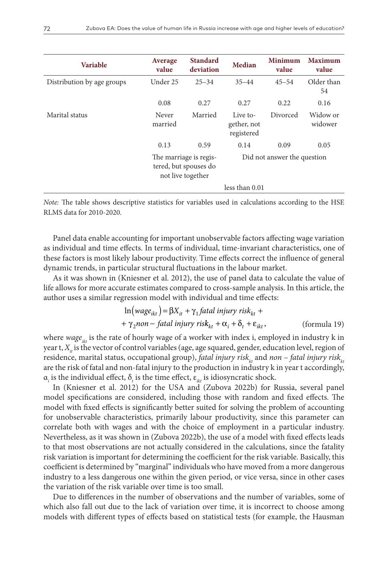| <b>Variable</b>            | Average<br>value                                                     | <b>Standard</b><br>deviation | Median                                | <b>Minimum</b><br>value | <b>Maximum</b><br>value |
|----------------------------|----------------------------------------------------------------------|------------------------------|---------------------------------------|-------------------------|-------------------------|
| Distribution by age groups | Under 25                                                             | $25 - 34$                    | $35 - 44$                             | $45 - 54$               | Older than<br>54        |
|                            | 0.08                                                                 | 0.27                         | 0.27                                  | 0.22                    | 0.16                    |
| Marital status             | Never<br>married                                                     | Married                      | Live to-<br>gether, not<br>registered | Divorced                | Widow or<br>widower     |
|                            | 0.13                                                                 | 0.59                         | 0.14                                  | 0.09                    | 0.05                    |
|                            | The marriage is regis-<br>tered, but spouses do<br>not live together |                              | Did not answer the question           |                         |                         |
|                            |                                                                      |                              | less than 0.01                        |                         |                         |

*Note:* The table shows descriptive statistics for variables used in calculations according to the HSE RLMS data for 2010-2020.

Panel data enable accounting for important unobservable factors affecting wage variation as individual and time effects. In terms of individual, time-invariant characteristics, one of these factors is most likely labour productivity. Time effects correct the influence of general dynamic trends, in particular structural fluctuations in the labour market.

As it was shown in (Kniesner et al. 2012), the use of panel data to calculate the value of life allows for more accurate estimates compared to cross-sample analysis. In this article, the author uses a similar regression model with individual and time effects:

$$
\ln(wage_{ikt}) = \beta X_{it} + \gamma_1 fatal \; injury \; risk_{kt} ++ \gamma_2 non-fatal \; injury \; risk_{kt} + \alpha_i + \delta_t + \varepsilon_{ikt}, \qquad \qquad \text{(formula 19)}
$$

where wage<sub>*kt*</sub> is the rate of hourly wage of a worker with index i, employed in industry k in year t, *X<sub>i</sub>* is the vector of control variables (age, age squared, gender, education level, region of residence, marital status, occupational group), *fatal injury risk<sub>kt</sub>* and *non* – *fatal injury risk<sub>kt</sub>* are the risk of fatal and non-fatal injury to the production in industry k in year t accordingly,  $\alpha_{i}$  is the individual effect,  $\delta_{i}$  is the time effect,  $\varepsilon_{ikt}$  is idiosyncratic shock.

In (Kniesner et al. 2012) for the USA and (Zubova 2022b) for Russia, several panel model specifications are considered, including those with random and fixed effects. The model with fixed effects is significantly better suited for solving the problem of accounting for unobservable characteristics, primarily labour productivity, since this parameter can correlate both with wages and with the choice of employment in a particular industry. Nevertheless, as it was shown in (Zubova 2022b), the use of a model with fixed effects leads to that most observations are not actually considered in the calculations, since the fatality risk variation is important for determining the coefficient for the risk variable. Basically, this coefficient is determined by "marginal" individuals who have moved from a more dangerous industry to a less dangerous one within the given period, or vice versa, since in other cases the variation of the risk variable over time is too small.

Due to differences in the number of observations and the number of variables, some of which also fall out due to the lack of variation over time, it is incorrect to choose among models with different types of effects based on statistical tests (for example, the Hausman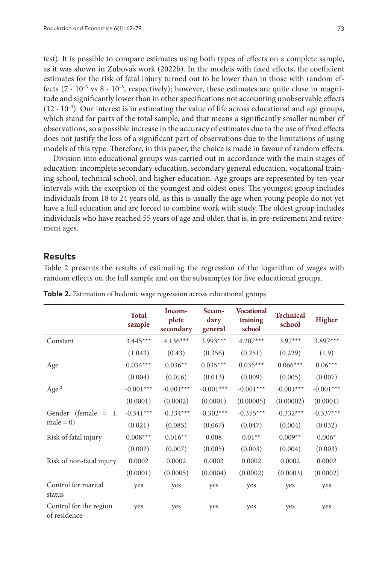test). It is possible to compare estimates using both types of effects on a complete sample, as it was shown in Zubova's work (2022b). In the models with fixed effects, the coefficient estimates for the risk of fatal injury turned out to be lower than in those with random effects (7  $\cdot$  10<sup>-3</sup> vs 8  $\cdot$  10<sup>-3</sup>, respectively); however, these estimates are quite close in magnitude and significantly lower than in other specifications not accounting unobservable effects  $(12 \cdot 10^{-3})$ . Our interest is in estimating the value of life across educational and age groups, which stand for parts of the total sample, and that means a significantly smaller number of observations, so a possible increase in the accuracy of estimates due to the use of fixed effects does not justify the loss of a significant part of observations due to the limitations of using models of this type. Therefore, in this paper, the choice is made in favour of random effects.

Division into educational groups was carried out in accordance with the main stages of education: incomplete secondary education, secondary general education, vocational training school, technical school, and higher education. Age groups are represented by ten-year intervals with the exception of the youngest and oldest ones. The youngest group includes individuals from 18 to 24 years old, as this is usually the age when young people do not yet have a full education and are forced to combine work with study. The oldest group includes individuals who have reached 55 years of age and older, that is, in pre-retirement and retirement ages.

## **Results**

Table 2 presents the results of estimating the regression of the logarithm of wages with random effects on the full sample and on the subsamples for five educational groups.

|                                        | <b>Total</b><br>sample | Incom-<br>plete<br>secondary | Secon-<br>dary<br>general | <b>Vocational</b><br>training<br>school | <b>Technical</b><br>school | <b>Higher</b> |
|----------------------------------------|------------------------|------------------------------|---------------------------|-----------------------------------------|----------------------------|---------------|
| Constant                               | $3.445***$             | $4.136***$                   | $3.993***$                | $4.207***$                              | $3.97***$                  | $3.897***$    |
|                                        | (1.043)                | (0.43)                       | (0.356)                   | (0.251)                                 | (0.229)                    | (1.9)         |
| Age                                    | $0.034***$             | $0.036**$                    | $0.035***$                | $0.035***$                              | $0.066***$                 | $0.06***$     |
|                                        | (0.004)                | (0.016)                      | (0.013)                   | (0.009)                                 | (0.005)                    | (0.007)       |
| Age $^2$                               | $-0.001***$            | $-0.001***$                  | $-0.001***$               | $-0.001***$                             | $-0.001***$                | $-0.001***$   |
|                                        | (0.0001)               | (0.0002)                     | (0.0001)                  | (0.00005)                               | (0.00002)                  | (0.0001)      |
| Gender (female $=$<br>1.               | $-0.341***$            | $-0.334***$                  | $-0.302***$               | $-0.355***$                             | $-0.332***$                | $-0.337***$   |
| $male = 0)$                            | (0.021)                | (0.085)                      | (0.067)                   | (0.047)                                 | (0.004)                    | (0.032)       |
| Risk of fatal injury                   | $0.008***$             | $0.016**$                    | 0.008                     | $0.01**$                                | $0,009**$                  | $0,006*$      |
|                                        | (0.002)                | (0.007)                      | (0.005)                   | (0.003)                                 | (0.004)                    | (0.003)       |
| Risk of non-fatal injury               | 0.0002                 | 0.0002                       | 0.0003                    | 0.0002                                  | 0.0002                     | 0.0002        |
|                                        | (0.0001)               | (0.0005)                     | (0.0004)                  | (0.0002)                                | (0.0003)                   | (0.0002)      |
| Control for marital<br>status          | yes                    | yes                          | yes                       | yes                                     | yes                        | yes           |
| Control for the region<br>of residence | yes                    | yes                          | yes                       | yes                                     | yes                        | yes           |

**Table 2.** Estimation of hedonic wage regression across educational groups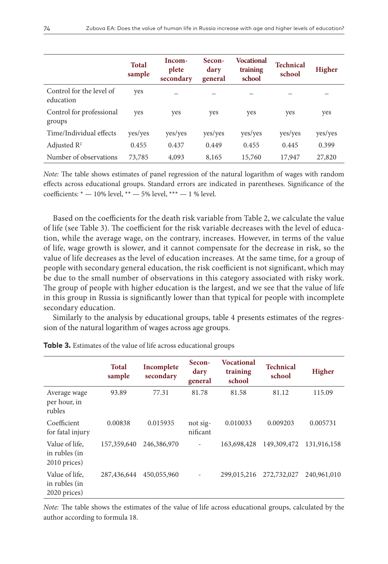|                                       | <b>Total</b><br>sample | Incom-<br>plete<br>secondary | Secon-<br>dary<br>general | Vocational<br>training<br>school | Technical<br>school | <b>Higher</b> |
|---------------------------------------|------------------------|------------------------------|---------------------------|----------------------------------|---------------------|---------------|
| Control for the level of<br>education | yes                    |                              |                           |                                  |                     |               |
| Control for professional<br>groups    | yes                    | yes                          | yes                       | yes                              | yes                 | yes           |
| Time/Individual effects               | yes/yes                | yes/yes                      | yes/yes                   | yes/yes                          | yes/yes             | yes/yes       |
| Adjusted $R^2$                        | 0.455                  | 0.437                        | 0.449                     | 0.455                            | 0.445               | 0.399         |
| Number of observations                | 73,785                 | 4,093                        | 8,165                     | 15,760                           | 17,947              | 27,820        |

*Note:* The table shows estimates of panel regression of the natural logarithm of wages with random effects across educational groups. Standard errors are indicated in parentheses. Significance of the coefficients:  $* - 10\%$  level,  $** - 5\%$  level,  $*** - 1\%$  level.

Based on the coefficients for the death risk variable from Table 2, we calculate the value of life (see Table 3). The coefficient for the risk variable decreases with the level of education, while the average wage, on the contrary, increases. However, in terms of the value of life, wage growth is slower, and it cannot compensate for the decrease in risk, so the value of life decreases as the level of education increases. At the same time, for a group of people with secondary general education, the risk coefficient is not significant, which may be due to the small number of observations in this category associated with risky work. The group of people with higher education is the largest, and we see that the value of life in this group in Russia is significantly lower than that typical for people with incomplete secondary education.

Similarly to the analysis by educational groups, table 4 presents estimates of the regression of the natural logarithm of wages across age groups.

|                                                 | <b>Total</b><br>sample | Incomplete<br>secondary | Secon-<br>dary<br>general | Vocational<br>training<br>school | <b>Technical</b><br>school | Higher      |
|-------------------------------------------------|------------------------|-------------------------|---------------------------|----------------------------------|----------------------------|-------------|
| Average wage<br>per hour, in<br>rubles          | 93.89                  | 77.31                   | 81.78                     | 81.58                            | 81.12                      | 115.09      |
| Coefficient<br>for fatal injury                 | 0.00838                | 0.015935                | not sig-<br>nificant      | 0.010033                         | 0.009203                   | 0.005731    |
| Value of life,<br>in rubles (in<br>2010 prices) | 157,359,640            | 246,386,970             | $\overline{\phantom{a}}$  | 163,698,428                      | 149,309,472                | 131,916,158 |
| Value of life,<br>in rubles (in<br>2020 prices) | 287,436,644            | 450,055,960             |                           | 299,015,216                      | 272,732,027                | 240,961,010 |

**Table 3.** Estimates of the value of life across educational groups

*Note:* The table shows the estimates of the value of life across educational groups, calculated by the author according to formula 18.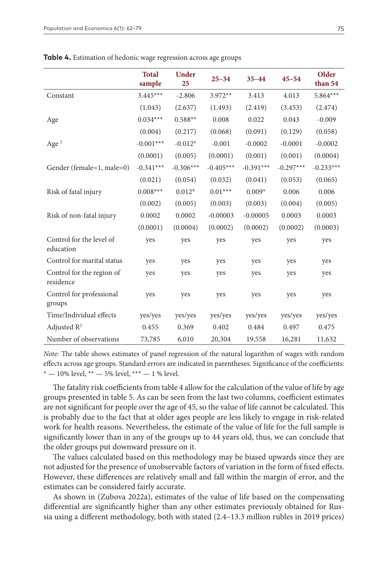|                                        | <b>Total</b><br>sample | <b>Under</b><br>25 | $25 - 34$   | $35 - 44$   | $45 - 54$   | Older<br>than 54 |
|----------------------------------------|------------------------|--------------------|-------------|-------------|-------------|------------------|
| Constant                               | $3.445***$             | $-2.806$           | $3.972**$   | 3.413       | 4.013       | $5.864***$       |
|                                        | (1.043)                | (2.637)            | (1.493)     | (2.419)     | (3.453)     | (2.474)          |
| Age                                    | $0.034***$             | $0.588**$          | 0.008       | 0.022       | 0.043       | $-0.009$         |
|                                        | (0.004)                | (0.217)            | (0.068)     | (0.091)     | (0.129)     | (0.058)          |
| Age $^2$                               | $-0.001***$            | $-0.012*$          | $-0.001$    | $-0.0002$   | $-0.0001$   | $-0.0002$        |
|                                        | (0.0001)               | (0.005)            | (0.0001)    | (0.001)     | (0.001)     | (0.0004)         |
| Gender (female=1, male=0)              | $-0.341***$            | $-0.306***$        | $-0.405***$ | $-0.391***$ | $-0.297***$ | $-0.233***$      |
|                                        | (0.021)                | (0.054)            | (0.032)     | (0.041)     | (0.053)     | (0.065)          |
| Risk of fatal injury                   | $0.008***$             | $0.012*$           | $0.01***$   | $0.009*$    | 0.006       | 0.006            |
|                                        | (0.002)                | (0.005)            | (0.003)     | (0.003)     | (0.004)     | (0.005)          |
| Risk of non-fatal injury               | 0.0002                 | 0.0002             | $-0.00003$  | $-0.00005$  | 0.0003      | 0.0003           |
|                                        | (0.0001)               | (0.0004)           | (0.0002)    | (0.0002)    | (0.0002)    | (0.0003)         |
| Control for the level of<br>education  | yes                    | yes                | yes         | yes         | yes         | yes              |
| Control for marital status             | yes                    | yes                | yes         | yes         | yes         | yes              |
| Control for the region of<br>residence | yes                    | yes                | yes         | yes         | yes         | yes              |
| Control for professional<br>groups     | yes                    | yes                | yes         | yes         | yes         | yes              |
| Time/Individual effects                | yes/yes                | yes/yes            | yes/yes     | yes/yes     | yes/yes     | yes/yes          |
| Adjusted $R^2$                         | 0.455                  | 0.369              | 0.402       | 0.484       | 0.497       | 0.475            |
| Number of observations                 | 73,785                 | 6,010              | 20,304      | 19,558      | 16,281      | 11,632           |

**Table 4.** Estimation of hedonic wage regression across age groups

*Note:* The table shows estimates of panel regression of the natural logarithm of wages with random effects across age groups. Standard errors are indicated in parentheses. Significance of the coefficients:  $* - 10\%$  level,  $** - 5\%$  level,  $*** - 1\%$  level.

The fatality risk coefficients from table 4 allow for the calculation of the value of life by age groups presented in table 5. As can be seen from the last two columns, coefficient estimates are not significant for people over the age of 45, so the value of life cannot be calculated. This is probably due to the fact that at older ages people are less likely to engage in risk-related work for health reasons. Nevertheless, the estimate of the value of life for the full sample is significantly lower than in any of the groups up to 44 years old, thus, we can conclude that the older groups put downward pressure on it.

The values calculated based on this methodology may be biased upwards since they are not adjusted for the presence of unobservable factors of variation in the form of fixed effects. However, these differences are relatively small and fall within the margin of error, and the estimates can be considered fairly accurate.

As shown in (Zubova 2022a), estimates of the value of life based on the compensating differential are significantly higher than any other estimates previously obtained for Russia using a different methodology, both with stated (2.4–13.3 million rubles in 2019 prices)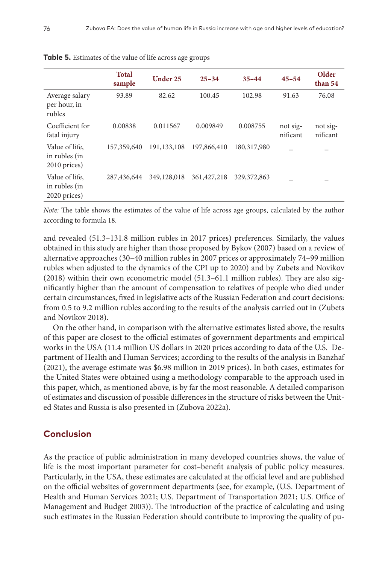|                                                 | <b>Total</b><br>sample | Under 25      | $25 - 34$     | $35 - 44$     | $45 - 54$            | Older<br>than 54     |
|-------------------------------------------------|------------------------|---------------|---------------|---------------|----------------------|----------------------|
| Average salary<br>per hour, in<br>rubles        | 93.89                  | 82.62         | 100.45        | 102.98        | 91.63                | 76.08                |
| Coefficient for<br>fatal injury                 | 0.00838                | 0.011567      | 0.009849      | 0.008755      | not sig-<br>nificant | not sig-<br>nificant |
| Value of life.<br>in rubles (in<br>2010 prices) | 157,359,640            | 191, 133, 108 | 197,866,410   | 180,317,980   |                      |                      |
| Value of life,<br>in rubles (in<br>2020 prices) | 287,436,644            | 349,128,018   | 361, 427, 218 | 329, 372, 863 |                      |                      |

**Table 5.** Estimates of the value of life across age groups

*Note:* The table shows the estimates of the value of life across age groups, calculated by the author according to formula 18.

and revealed (51.3–131.8 million rubles in 2017 prices) preferences. Similarly, the values obtained in this study are higher than those proposed by Bykov (2007) based on a review of alternative approaches (30–40 million rubles in 2007 prices or approximately 74–99 million rubles when adjusted to the dynamics of the CPI up to 2020) and by Zubets and Novikov (2018) within their own econometric model (51.3–61.1 million rubles). They are also significantly higher than the amount of compensation to relatives of people who died under certain circumstances, fixed in legislative acts of the Russian Federation and court decisions: from 0.5 to 9.2 million rubles according to the results of the analysis carried out in (Zubets and Novikov 2018).

On the other hand, in comparison with the alternative estimates listed above, the results of this paper are closest to the official estimates of government departments and empirical works in the USA (11.4 million US dollars in 2020 prices according to data of the U.S. Department of Health and Human Services; according to the results of the analysis in Banzhaf (2021), the average estimate was \$6.98 million in 2019 prices). In both cases, estimates for the United States were obtained using a methodology comparable to the approach used in this paper, which, as mentioned above, is by far the most reasonable. A detailed comparison of estimates and discussion of possible differences in the structure of risks between the United States and Russia is also presented in (Zubova 2022a).

# **Conclusion**

As the practice of public administration in many developed countries shows, the value of life is the most important parameter for cost–benefit analysis of public policy measures. Particularly, in the USA, these estimates are calculated at the official level and are published on the official websites of government departments (see, for example, (U.S. Department of Health and Human Services 2021; U.S. Department of Transportation 2021; U.S. Office of Management and Budget 2003)). The introduction of the practice of calculating and using such estimates in the Russian Federation should contribute to improving the quality of pu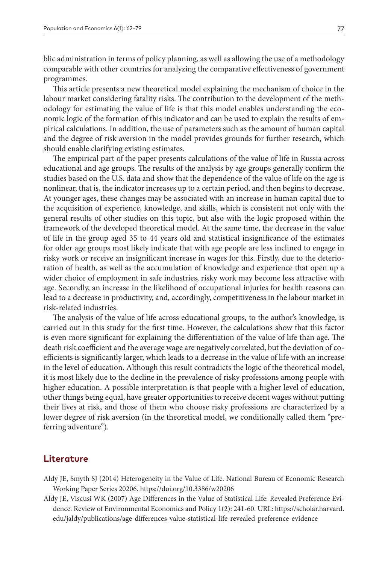blic administration in terms of policy planning, as well as allowing the use of a methodology comparable with other countries for analyzing the comparative effectiveness of government programmes.

This article presents a new theoretical model explaining the mechanism of choice in the labour market considering fatality risks. The contribution to the development of the methodology for estimating the value of life is that this model enables understanding the economic logic of the formation of this indicator and can be used to explain the results of empirical calculations. In addition, the use of parameters such as the amount of human capital and the degree of risk aversion in the model provides grounds for further research, which should enable clarifying existing estimates.

The empirical part of the paper presents calculations of the value of life in Russia across educational and age groups. The results of the analysis by age groups generally confirm the studies based on the U.S. data and show that the dependence of the value of life on the age is nonlinear, that is, the indicator increases up to a certain period, and then begins to decrease. At younger ages, these changes may be associated with an increase in human capital due to the acquisition of experience, knowledge, and skills, which is consistent not only with the general results of other studies on this topic, but also with the logic proposed within the framework of the developed theoretical model. At the same time, the decrease in the value of life in the group aged 35 to 44 years old and statistical insignificance of the estimates for older age groups most likely indicate that with age people are less inclined to engage in risky work or receive an insignificant increase in wages for this. Firstly, due to the deterioration of health, as well as the accumulation of knowledge and experience that open up a wider choice of employment in safe industries, risky work may become less attractive with age. Secondly, an increase in the likelihood of occupational injuries for health reasons can lead to a decrease in productivity, and, accordingly, competitiveness in the labour market in risk-related industries.

The analysis of the value of life across educational groups, to the author's knowledge, is carried out in this study for the first time. However, the calculations show that this factor is even more significant for explaining the differentiation of the value of life than age. The death risk coefficient and the average wage are negatively correlated, but the deviation of coefficients is significantly larger, which leads to a decrease in the value of life with an increase in the level of education. Although this result contradicts the logic of the theoretical model, it is most likely due to the decline in the prevalence of risky professions among people with higher education. A possible interpretation is that people with a higher level of education, other things being equal, have greater opportunities to receive decent wages without putting their lives at risk, and those of them who choose risky professions are characterized by a lower degree of risk aversion (in the theoretical model, we conditionally called them "preferring adventure").

#### **Literature**

- Aldy JE, Smyth SJ (2014) Heterogeneity in the Value of Life. National Bureau of Economic Research Working Paper Series 20206. <https://doi.org/10.3386/w20206>
- Aldy JE, Viscusi WK (2007) Age Differences in the Value of Statistical Life: Revealed Preference Evidence. Review of Environmental Economics and Policy 1(2): 241-60. URL: [https://scholar.harvard.](https://scholar.harvard.edu/jaldy/publications/age-differences-value-statistical-life-revealed-preference-evidence) [edu/jaldy/publications/age-differences-value-statistical-life-revealed-preference-evidence](https://scholar.harvard.edu/jaldy/publications/age-differences-value-statistical-life-revealed-preference-evidence)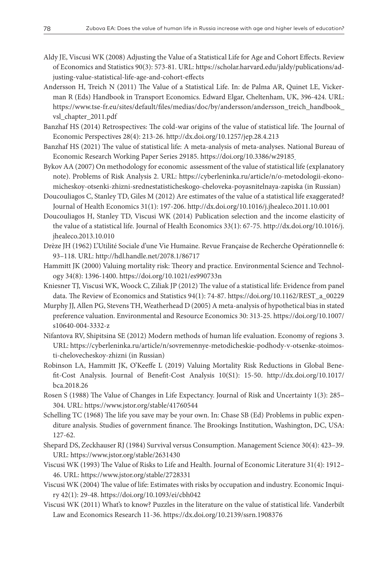- Aldy JE, Viscusi WK (2008) Adjusting the Value of a Statistical Life for Age and Cohort Effects. Review of Economics and Statistics 90(3): 573-81. URL: [https://scholar.harvard.edu/jaldy/publications/ad](https://scholar.harvard.edu/jaldy/publications/adjusting-value-statistical-life-age-and-cohort-effects)[justing-value-statistical-life-age-and-cohort-effects](https://scholar.harvard.edu/jaldy/publications/adjusting-value-statistical-life-age-and-cohort-effects)
- Andersson H, Treich N (2011) The Value of a Statistical Life. In: de Palma AR, Quinet LE, Vickerman R (Eds) Handbook in Transport Economics. Edward Elgar, Cheltenham, UK, 396-424. URL: [https://www.tse-fr.eu/sites/default/files/medias/doc/by/andersson/andersson\\_treich\\_handbook\\_](https://www.tse-fr.eu/sites/default/files/medias/doc/by/andersson/andersson_treich_handbook_vsl_chapter_2011.pdf) [vsl\\_chapter\\_2011.pdf](https://www.tse-fr.eu/sites/default/files/medias/doc/by/andersson/andersson_treich_handbook_vsl_chapter_2011.pdf)
- Banzhaf HS (2014) Retrospectives: The cold-war origins of the value of statistical life. The Journal of Economic Perspectives 28(4): 213-26.<http://dx.doi.org/10.1257/jep.28.4.213>
- Banzhaf HS (2021) The value of statistical life: A meta-analysis of meta-analyses. National Bureau of Economic Research Working Paper Series 29185. <https://doi.org/10.3386/w29185>
- Bykov AA (2007) On methodology for economic assessment of the value of statistical life (explanatory note). Problems of Risk Analysis 2. URL: [https://cyberleninka.ru/article/n/o-metodologii-ekono](https://cyberleninka.ru/article/n/o-metodologii-ekonomicheskoy-otsenki-zhizni-srednestatisticheskogo-cheloveka-poyasnitelnaya-zapiska)[micheskoy-otsenki-zhizni-srednestatisticheskogo-cheloveka-poyasnitelnaya-zapiska](https://cyberleninka.ru/article/n/o-metodologii-ekonomicheskoy-otsenki-zhizni-srednestatisticheskogo-cheloveka-poyasnitelnaya-zapiska) (in Russian)
- Doucouliagos C, Stanley TD, Giles M (2012) Are estimates of the value of a statistical life exaggerated? Journal of Health Economics 31(1): 197-206.<http://dx.doi.org/10.1016/j.jhealeco.2011.10.001>
- Doucouliagos H, Stanley TD, Viscusi WK (2014) Publication selection and the income elasticity of the value of a statistical life. Journal of Health Economics 33(1): 67-75. [http://dx.doi.org/10.1016/j.](http://dx.doi.org/10.1016/j.jhealeco.2013.10.010) [jhealeco.2013.10.010](http://dx.doi.org/10.1016/j.jhealeco.2013.10.010)
- Drèze JH (1962) L'Utilité Sociale d'une Vie Humaine. Revue Française de Recherche Opérationnelle 6: 93–118. URL:<http://hdl.handle.net/2078.1/86717>
- Hammitt JK (2000) Valuing mortality risk: Theory and practice. Environmental Science and Technology 34(8): 1396-1400.<https://doi.org/10.1021/es990733n>
- Kniesner TJ, Viscusi WK, Woock C, Ziliak JP (2012) The value of a statistical life: Evidence from panel data. The Review of Economics and Statistics 94(1): 74-87. [https://doi.org/10.1162/REST\\_a\\_00229](https://doi.org/10.1162/REST_a_00229)
- Murphy JJ, Allen PG, Stevens TH, Weatherhead D (2005) A meta-analysis of hypothetical bias in stated preference valuation. Environmental and Resource Economics 30: 313-25. [https://doi.org/10.1007/](https://doi.org/10.1007/s10640-004-3332-z) [s10640-004-3332-z](https://doi.org/10.1007/s10640-004-3332-z)
- Nifantova RV, Shipitsina SE (2012) Modern methods of human life evaluation. Economy of regions 3. URL: [https://cyberleninka.ru/article/n/sovremennye-metodicheskie-podhody-v-otsenke-stoimos](https://cyberleninka.ru/article/n/sovremennye-metodicheskie-podhody-v-otsenke-stoimosti-chelovecheskoy-zhizni)[ti-chelovecheskoy-zhizni](https://cyberleninka.ru/article/n/sovremennye-metodicheskie-podhody-v-otsenke-stoimosti-chelovecheskoy-zhizni) (in Russian)
- Robinson LA, Hammitt JK, O'Keeffe L (2019) Valuing Mortality Risk Reductions in Global Benefit-Cost Analysis. Journal of Benefit-Cost Analysis 10(S1): 15-50. [http://dx.doi.org/10.1017/](http://dx.doi.org/10.1017/bca.2018.26) [bca.2018.26](http://dx.doi.org/10.1017/bca.2018.26)
- Rosen S (1988) The Value of Changes in Life Expectancy. Journal of Risk and Uncertainty 1(3): 285– 304. URL: <https://www.jstor.org/stable/41760544>
- Schelling TC (1968) The life you save may be your own. In: Chase SB (Ed) Problems in public expenditure analysis. Studies of government finance. The Brookings Institution, Washington, DC, USA: 127-62.
- Shepard DS, Zeckhauser RJ (1984) Survival versus Consumption. Management Science 30(4): 423–39. URL: <https://www.jstor.org/stable/2631430>
- Viscusi WK (1993) The Value of Risks to Life and Health. Journal of Economic Literature 31(4): 1912– 46. URL: <https://www.jstor.org/stable/2728331>
- Viscusi WK (2004) The value of life: Estimates with risks by occupation and industry. Economic Inquiry 42(1): 29-48.<https://doi.org/10.1093/ei/cbh042>
- Viscusi WK (2011) What's to know? Puzzles in the literature on the value of statistical life. Vanderbilt Law and Economics Research 11-36.<https://dx.doi.org/10.2139/ssrn.1908376>